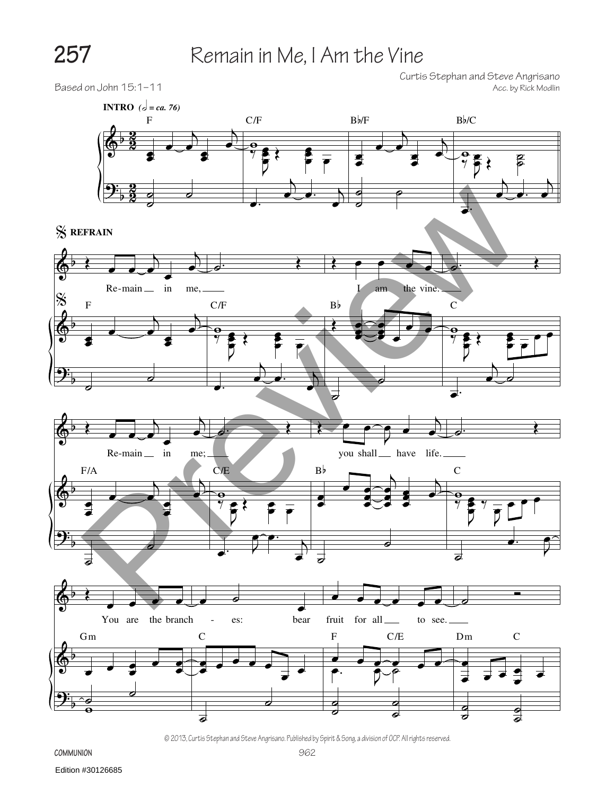## **257** Remain in Me, I Am the Vine

Curtis Stephan and Steve Angrisano



© 2013, Curtis Stephan and Steve Angrisano. Published by Spirit & Song, a division of OCP. All rights reserved.

**Communion**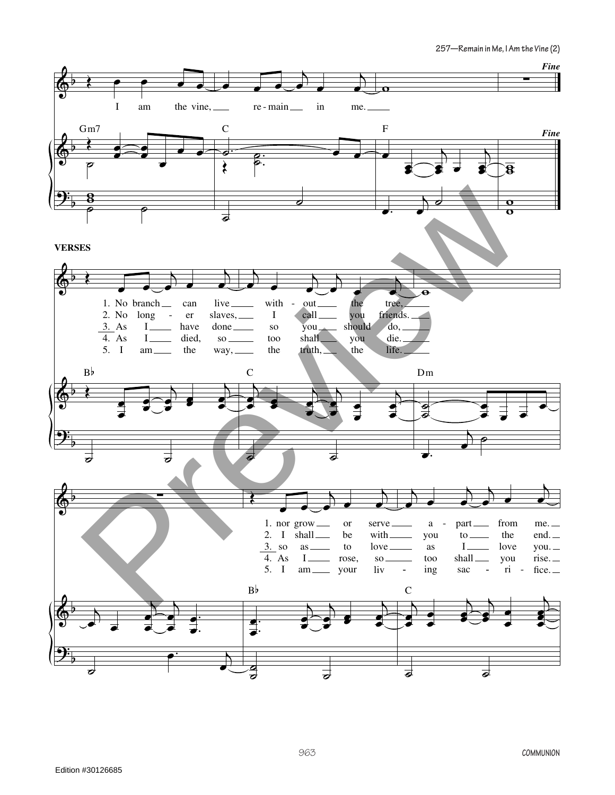**257—Remain in Me, I Am the Vine (2)**